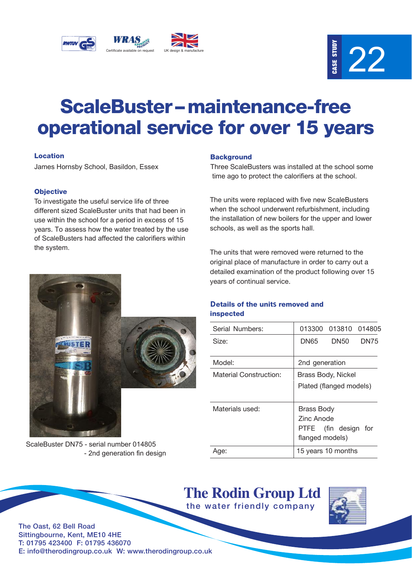



# ScaleBuster – maintenance-free operational service for over 15 years

# Location

James Hornsby School, Basildon, Essex

# **Objective**

To investigate the useful service life of three different sized ScaleBuster units that had been in use within the school for a period in excess of 15 years. To assess how the water treated by the use of ScaleBusters had affected the calorifiers within the system.

### **Background**

Three ScaleBusters was installed at the school some time ago to protect the calorifiers at the school.

The units were replaced with five new ScaleBusters when the school underwent refurbishment, including the installation of new boilers for the upper and lower schools, as well as the sports hall.

The units that were removed were returned to the original place of manufacture in order to carry out a detailed examination of the product following over 15 years of continual service.

ScaleBuster DN75 - serial number 014805 - 2nd generation fin design

# Details of the units removed and inspected

| Serial Numbers:        | 013300                                                              | 013810 014805 |      |
|------------------------|---------------------------------------------------------------------|---------------|------|
| Size:                  | DN65                                                                | DN50          | DN75 |
| Model:                 | 2nd generation                                                      |               |      |
| Material Construction: | Brass Body, Nickel<br>Plated (flanged models)                       |               |      |
| Materials used:        | Brass Body<br>Zinc Anode<br>PTFE (fin design for<br>flanged models) |               |      |
| Aqe:                   | 15 years 10 months                                                  |               |      |

**The Rodin Group Ltd** the water friendly company



The Oast, 62 Bell Road Sittingbourne, Kent, ME10 4HE T: 01795 423400 F: 01795 436070 E: info@therodingroup.co.uk W: www.therodingroup.co.uk